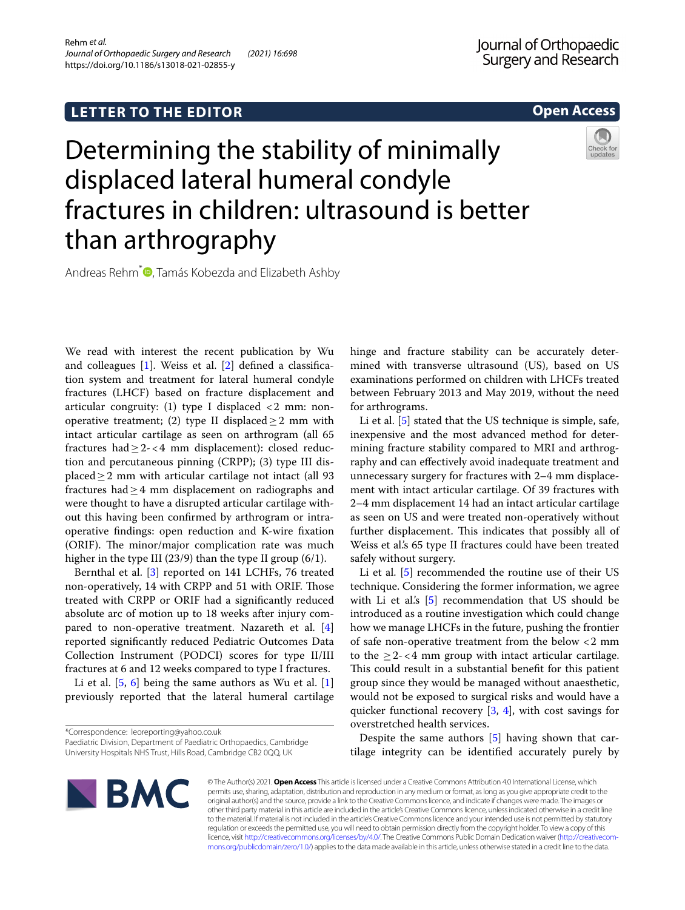# **LETTER TO THE EDITOR**

# **Open Access**

# Determining the stability of minimally displaced lateral humeral condyle fractures in children: ultrasound is better than arthrography



Andreas Rehm<sup>\*</sup> [,](http://orcid.org/0000-0003-4480-2497) Tamás Kobezda and Elizabeth Ashby

We read with interest the recent publication by Wu and colleagues [\[1](#page-1-0)]. Weiss et al. [[2\]](#page-1-1) defned a classifcation system and treatment for lateral humeral condyle fractures (LHCF) based on fracture displacement and articular congruity: (1) type I displaced <2 mm: nonoperative treatment; (2) type II displaced  $\geq$  2 mm with intact articular cartilage as seen on arthrogram (all 65 fractures had  $\geq 2 - < 4$  mm displacement): closed reduction and percutaneous pinning (CRPP); (3) type III displaced≥2 mm with articular cartilage not intact (all 93 fractures had $\geq$ 4 mm displacement on radiographs and were thought to have a disrupted articular cartilage without this having been confrmed by arthrogram or intraoperative fndings: open reduction and K-wire fxation (ORIF). The minor/major complication rate was much higher in the type III (23/9) than the type II group (6/1).

Bernthal et al. [[3](#page-1-2)] reported on 141 LCHFs, 76 treated non-operatively, 14 with CRPP and 51 with ORIF. Those treated with CRPP or ORIF had a signifcantly reduced absolute arc of motion up to 18 weeks after injury compared to non-operative treatment. Nazareth et al. [\[4](#page-1-3)] reported signifcantly reduced Pediatric Outcomes Data Collection Instrument (PODCI) scores for type II/III fractures at 6 and 12 weeks compared to type I fractures.

Li et al. [\[5,](#page-1-4) [6](#page-1-5)] being the same authors as Wu et al. [\[1](#page-1-0)] previously reported that the lateral humeral cartilage

\*Correspondence: leoreporting@yahoo.co.uk

Paediatric Division, Department of Paediatric Orthopaedics, Cambridge University Hospitals NHS Trust, Hills Road, Cambridge CB2 0QQ, UK

hinge and fracture stability can be accurately determined with transverse ultrasound (US), based on US examinations performed on children with LHCFs treated between February 2013 and May 2019, without the need for arthrograms.

Li et al. [\[5](#page-1-4)] stated that the US technique is simple, safe, inexpensive and the most advanced method for determining fracture stability compared to MRI and arthrography and can efectively avoid inadequate treatment and unnecessary surgery for fractures with 2–4 mm displacement with intact articular cartilage. Of 39 fractures with 2–4 mm displacement 14 had an intact articular cartilage as seen on US and were treated non-operatively without further displacement. This indicates that possibly all of Weiss et al's 65 type II fractures could have been treated safely without surgery.

Li et al. [\[5](#page-1-4)] recommended the routine use of their US technique. Considering the former information, we agree with Li et al's [[5\]](#page-1-4) recommendation that US should be introduced as a routine investigation which could change how we manage LHCFs in the future, pushing the frontier of safe non-operative treatment from the below <2 mm to the  $\geq 2 - 4$  mm group with intact articular cartilage. This could result in a substantial benefit for this patient group since they would be managed without anaesthetic, would not be exposed to surgical risks and would have a quicker functional recovery  $[3, 4]$  $[3, 4]$  $[3, 4]$  $[3, 4]$  $[3, 4]$ , with cost savings for overstretched health services.

Despite the same authors [\[5](#page-1-4)] having shown that cartilage integrity can be identifed accurately purely by



© The Author(s) 2021. **Open Access** This article is licensed under a Creative Commons Attribution 4.0 International License, which permits use, sharing, adaptation, distribution and reproduction in any medium or format, as long as you give appropriate credit to the original author(s) and the source, provide a link to the Creative Commons licence, and indicate if changes were made. The images or other third party material in this article are included in the article's Creative Commons licence, unless indicated otherwise in a credit line to the material. If material is not included in the article's Creative Commons licence and your intended use is not permitted by statutory regulation or exceeds the permitted use, you will need to obtain permission directly from the copyright holder. To view a copy of this licence, visit [http://creativecommons.org/licenses/by/4.0/.](http://creativecommons.org/licenses/by/4.0/) The Creative Commons Public Domain Dedication waiver ([http://creativecom](http://creativecommons.org/publicdomain/zero/1.0/)[mons.org/publicdomain/zero/1.0/\)](http://creativecommons.org/publicdomain/zero/1.0/) applies to the data made available in this article, unless otherwise stated in a credit line to the data.